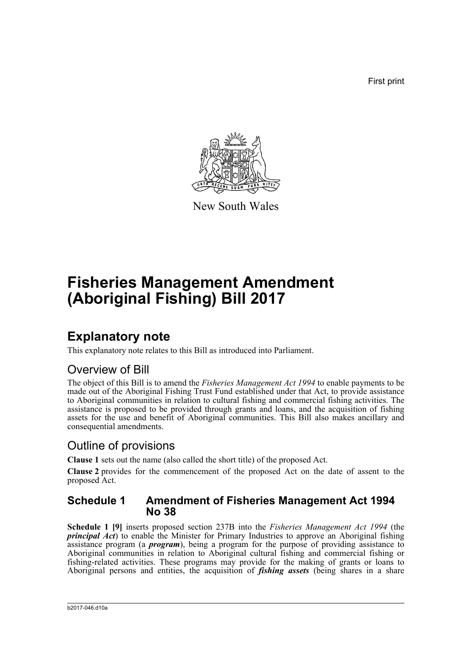First print



New South Wales

# **Fisheries Management Amendment (Aboriginal Fishing) Bill 2017**

### **Explanatory note**

This explanatory note relates to this Bill as introduced into Parliament.

### Overview of Bill

The object of this Bill is to amend the *Fisheries Management Act 1994* to enable payments to be made out of the Aboriginal Fishing Trust Fund established under that Act, to provide assistance to Aboriginal communities in relation to cultural fishing and commercial fishing activities. The assistance is proposed to be provided through grants and loans, and the acquisition of fishing assets for the use and benefit of Aboriginal communities. This Bill also makes ancillary and consequential amendments.

### Outline of provisions

**Clause 1** sets out the name (also called the short title) of the proposed Act.

**Clause 2** provides for the commencement of the proposed Act on the date of assent to the proposed Act.

#### **Schedule 1 Amendment of Fisheries Management Act 1994 No 38**

**Schedule 1 [9]** inserts proposed section 237B into the *Fisheries Management Act 1994* (the *principal Act*) to enable the Minister for Primary Industries to approve an Aboriginal fishing assistance program (a *program*), being a program for the purpose of providing assistance to Aboriginal communities in relation to Aboriginal cultural fishing and commercial fishing or fishing-related activities. These programs may provide for the making of grants or loans to Aboriginal persons and entities, the acquisition of *fishing assets* (being shares in a share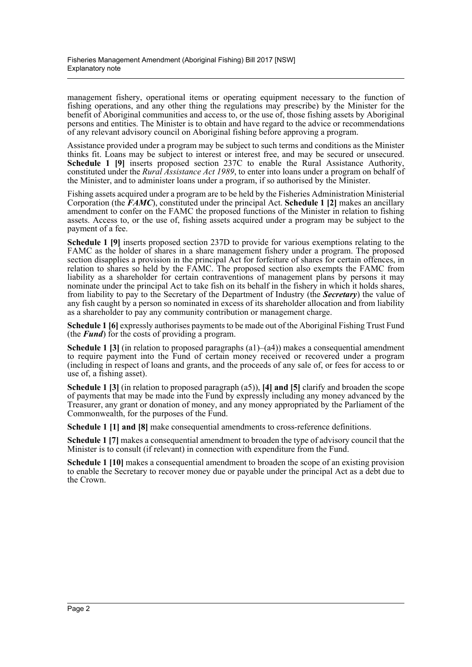management fishery, operational items or operating equipment necessary to the function of fishing operations, and any other thing the regulations may prescribe) by the Minister for the benefit of Aboriginal communities and access to, or the use of, those fishing assets by Aboriginal persons and entities. The Minister is to obtain and have regard to the advice or recommendations of any relevant advisory council on Aboriginal fishing before approving a program.

Assistance provided under a program may be subject to such terms and conditions as the Minister thinks fit. Loans may be subject to interest or interest free, and may be secured or unsecured. **Schedule 1 [9]** inserts proposed section 237C to enable the Rural Assistance Authority, constituted under the *Rural Assistance Act 1989*, to enter into loans under a program on behalf of the Minister, and to administer loans under a program, if so authorised by the Minister.

Fishing assets acquired under a program are to be held by the Fisheries Administration Ministerial Corporation (the *FAMC*), constituted under the principal Act. **Schedule 1 [2]** makes an ancillary amendment to confer on the FAMC the proposed functions of the Minister in relation to fishing assets. Access to, or the use of, fishing assets acquired under a program may be subject to the payment of a fee.

**Schedule 1 [9]** inserts proposed section 237D to provide for various exemptions relating to the FAMC as the holder of shares in a share management fishery under a program. The proposed section disapplies a provision in the principal Act for forfeiture of shares for certain offences, in relation to shares so held by the FAMC. The proposed section also exempts the FAMC from liability as a shareholder for certain contraventions of management plans by persons it may nominate under the principal Act to take fish on its behalf in the fishery in which it holds shares, from liability to pay to the Secretary of the Department of Industry (the *Secretary*) the value of any fish caught by a person so nominated in excess of its shareholder allocation and from liability as a shareholder to pay any community contribution or management charge.

**Schedule 1 [6]** expressly authorises payments to be made out of the Aboriginal Fishing Trust Fund (the *Fund*) for the costs of providing a program.

**Schedule 1 [3]** (in relation to proposed paragraphs (a1)–(a4)) makes a consequential amendment to require payment into the Fund of certain money received or recovered under a program (including in respect of loans and grants, and the proceeds of any sale of, or fees for access to or use of, a fishing asset).

**Schedule 1 [3]** (in relation to proposed paragraph (a5)), **[4] and [5]** clarify and broaden the scope of payments that may be made into the Fund by expressly including any money advanced by the Treasurer, any grant or donation of money, and any money appropriated by the Parliament of the Commonwealth, for the purposes of the Fund.

**Schedule 1 [1] and [8]** make consequential amendments to cross-reference definitions.

**Schedule 1 [7]** makes a consequential amendment to broaden the type of advisory council that the Minister is to consult (if relevant) in connection with expenditure from the Fund.

**Schedule 1 [10]** makes a consequential amendment to broaden the scope of an existing provision to enable the Secretary to recover money due or payable under the principal Act as a debt due to the Crown.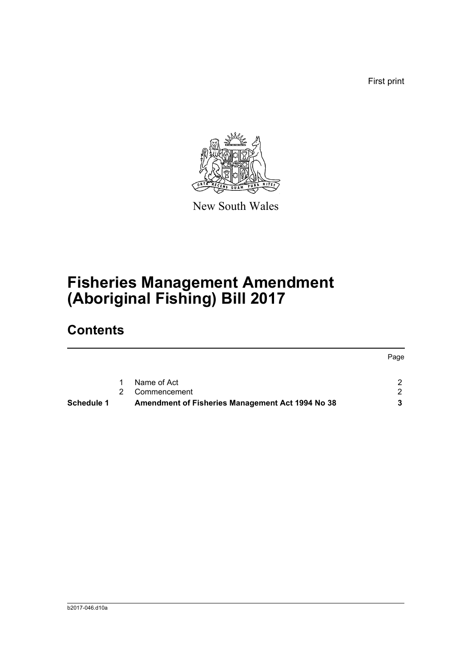First print



New South Wales

# **Fisheries Management Amendment (Aboriginal Fishing) Bill 2017**

## **Contents**

|                   |             |                                                  | Page |
|-------------------|-------------|--------------------------------------------------|------|
|                   | $\mathbf 1$ | Name of Act                                      |      |
|                   | 2           | Commencement                                     |      |
| <b>Schedule 1</b> |             | Amendment of Fisheries Management Act 1994 No 38 | 3    |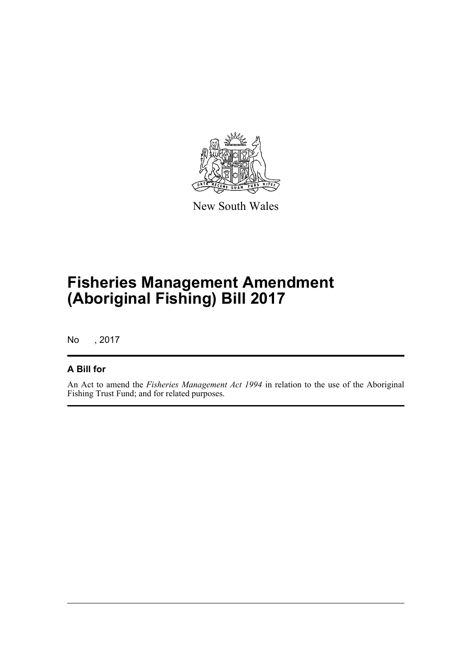

New South Wales

# **Fisheries Management Amendment (Aboriginal Fishing) Bill 2017**

No , 2017

#### **A Bill for**

An Act to amend the *Fisheries Management Act 1994* in relation to the use of the Aboriginal Fishing Trust Fund; and for related purposes.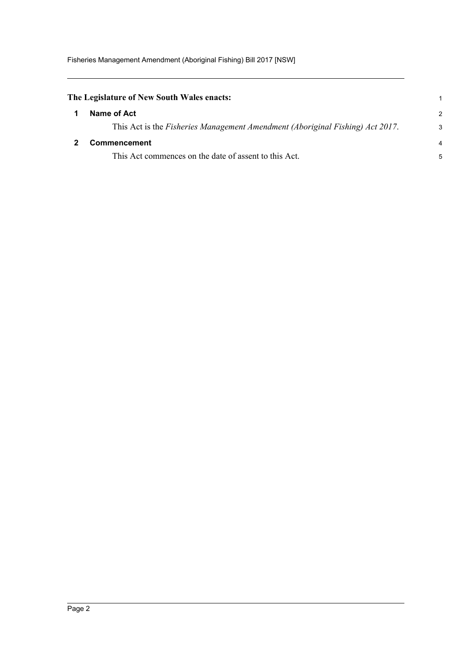<span id="page-4-1"></span><span id="page-4-0"></span>

| The Legislature of New South Wales enacts: |                                                                               |                |
|--------------------------------------------|-------------------------------------------------------------------------------|----------------|
|                                            | Name of Act                                                                   | 2              |
|                                            | This Act is the Fisheries Management Amendment (Aboriginal Fishing) Act 2017. | 3              |
|                                            | <b>Commencement</b>                                                           | $\overline{4}$ |
|                                            | This Act commences on the date of assent to this Act.                         |                |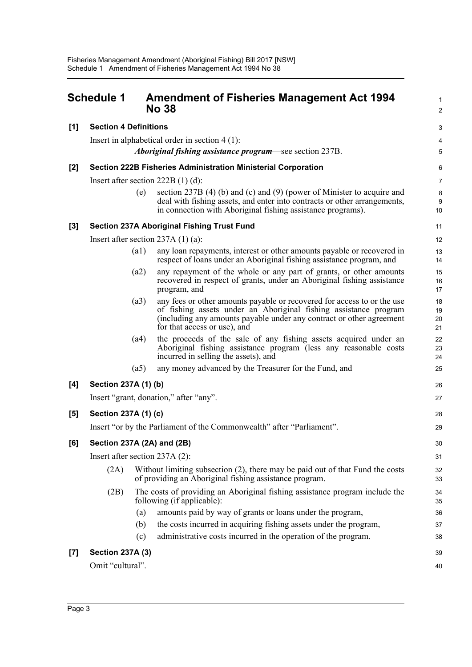<span id="page-5-0"></span>

|                                   | <b>Schedule 1</b>                                       |                                     | <b>Amendment of Fisheries Management Act 1994</b><br><b>No 38</b>                                                                                                                                                                                   | $\mathbf{1}$<br>$\overline{2}$ |  |  |  |
|-----------------------------------|---------------------------------------------------------|-------------------------------------|-----------------------------------------------------------------------------------------------------------------------------------------------------------------------------------------------------------------------------------------------------|--------------------------------|--|--|--|
| [1]                               | <b>Section 4 Definitions</b>                            |                                     |                                                                                                                                                                                                                                                     | 3                              |  |  |  |
|                                   | Insert in alphabetical order in section $4(1)$ :        |                                     |                                                                                                                                                                                                                                                     |                                |  |  |  |
|                                   | Aboriginal fishing assistance program—see section 237B. |                                     |                                                                                                                                                                                                                                                     |                                |  |  |  |
| [2]                               |                                                         |                                     | <b>Section 222B Fisheries Administration Ministerial Corporation</b>                                                                                                                                                                                | 6                              |  |  |  |
|                                   |                                                         | Insert after section $222B(1)(d)$ : |                                                                                                                                                                                                                                                     |                                |  |  |  |
|                                   |                                                         | (e)                                 | section 237B $(4)$ (b) and (c) and $(9)$ (power of Minister to acquire and<br>deal with fishing assets, and enter into contracts or other arrangements,<br>in connection with Aboriginal fishing assistance programs).                              | 8<br>9<br>10                   |  |  |  |
| $[3]$                             |                                                         |                                     | <b>Section 237A Aboriginal Fishing Trust Fund</b>                                                                                                                                                                                                   | 11                             |  |  |  |
|                                   |                                                         |                                     | Insert after section $237A(1)(a)$ :                                                                                                                                                                                                                 | 12                             |  |  |  |
|                                   |                                                         | (a1)                                | any loan repayments, interest or other amounts payable or recovered in<br>respect of loans under an Aboriginal fishing assistance program, and                                                                                                      | 13<br>14                       |  |  |  |
|                                   |                                                         | (a2)                                | any repayment of the whole or any part of grants, or other amounts<br>recovered in respect of grants, under an Aboriginal fishing assistance<br>program, and                                                                                        | 15<br>16<br>17                 |  |  |  |
|                                   |                                                         | (a3)                                | any fees or other amounts payable or recovered for access to or the use<br>of fishing assets under an Aboriginal fishing assistance program<br>(including any amounts payable under any contract or other agreement<br>for that access or use), and | 18<br>19<br>20<br>21           |  |  |  |
|                                   |                                                         | (a4)                                | the proceeds of the sale of any fishing assets acquired under an<br>Aboriginal fishing assistance program (less any reasonable costs<br>incurred in selling the assets), and                                                                        | 22<br>23<br>24                 |  |  |  |
|                                   |                                                         | (a5)                                | any money advanced by the Treasurer for the Fund, and                                                                                                                                                                                               | 25                             |  |  |  |
| [4]                               | Section 237A (1) (b)                                    |                                     |                                                                                                                                                                                                                                                     |                                |  |  |  |
|                                   | Insert "grant, donation," after "any".                  |                                     |                                                                                                                                                                                                                                                     |                                |  |  |  |
| [5]                               | Section 237A (1) (c)                                    |                                     |                                                                                                                                                                                                                                                     | 28                             |  |  |  |
|                                   |                                                         |                                     | Insert "or by the Parliament of the Commonwealth" after "Parliament".                                                                                                                                                                               | 29                             |  |  |  |
| Section 237A (2A) and (2B)<br>[6] |                                                         |                                     |                                                                                                                                                                                                                                                     | 30                             |  |  |  |
|                                   | Insert after section 237A (2):                          |                                     |                                                                                                                                                                                                                                                     | 31                             |  |  |  |
|                                   | (2A)                                                    |                                     | Without limiting subsection (2), there may be paid out of that Fund the costs<br>of providing an Aboriginal fishing assistance program.                                                                                                             | 32<br>33                       |  |  |  |
|                                   | (2B)                                                    |                                     | The costs of providing an Aboriginal fishing assistance program include the<br>following (if applicable):                                                                                                                                           | 34<br>35                       |  |  |  |
|                                   |                                                         | (a)                                 | amounts paid by way of grants or loans under the program,                                                                                                                                                                                           | 36                             |  |  |  |
|                                   |                                                         | (b)                                 | the costs incurred in acquiring fishing assets under the program,                                                                                                                                                                                   | 37                             |  |  |  |
|                                   |                                                         | (c)                                 | administrative costs incurred in the operation of the program.                                                                                                                                                                                      | 38                             |  |  |  |
| $[7]$                             | <b>Section 237A (3)</b>                                 |                                     |                                                                                                                                                                                                                                                     |                                |  |  |  |
|                                   | Omit "cultural".                                        |                                     |                                                                                                                                                                                                                                                     |                                |  |  |  |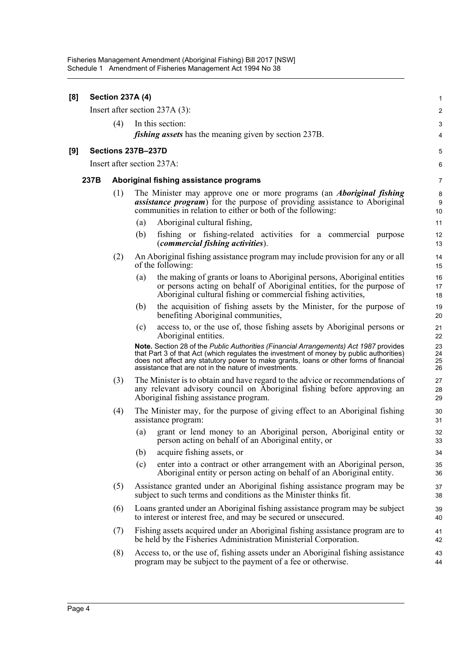| [8] |                                | <b>Section 237A (4)</b> |                                        |                                                                                                                                                                                                                                                                                                                                    | 1                       |  |  |
|-----|--------------------------------|-------------------------|----------------------------------------|------------------------------------------------------------------------------------------------------------------------------------------------------------------------------------------------------------------------------------------------------------------------------------------------------------------------------------|-------------------------|--|--|
|     | Insert after section 237A (3): |                         |                                        |                                                                                                                                                                                                                                                                                                                                    | $\overline{\mathbf{c}}$ |  |  |
|     |                                | (4)                     |                                        | In this section:                                                                                                                                                                                                                                                                                                                   | 3                       |  |  |
|     |                                |                         |                                        | <i>fishing assets</i> has the meaning given by section 237B.                                                                                                                                                                                                                                                                       | 4                       |  |  |
| [9] | Sections 237B-237D             |                         |                                        |                                                                                                                                                                                                                                                                                                                                    |                         |  |  |
|     | Insert after section 237A:     |                         |                                        |                                                                                                                                                                                                                                                                                                                                    |                         |  |  |
|     | 237B                           |                         | Aboriginal fishing assistance programs |                                                                                                                                                                                                                                                                                                                                    |                         |  |  |
|     |                                | (1)                     |                                        | The Minister may approve one or more programs (an <i>Aboriginal fishing</i><br><i>assistance program</i> ) for the purpose of providing assistance to Aboriginal<br>communities in relation to either or both of the following:                                                                                                    | 8<br>$9\,$<br>10        |  |  |
|     |                                |                         | (a)                                    | Aboriginal cultural fishing,                                                                                                                                                                                                                                                                                                       | 11                      |  |  |
|     |                                |                         | (b)                                    | fishing or fishing-related activities for a commercial purpose<br><i>(commercial fishing activities).</i>                                                                                                                                                                                                                          | 12<br>13                |  |  |
|     |                                | (2)                     |                                        | An Aboriginal fishing assistance program may include provision for any or all<br>of the following:                                                                                                                                                                                                                                 | 14<br>15                |  |  |
|     |                                |                         | (a)                                    | the making of grants or loans to Aboriginal persons, Aboriginal entities<br>or persons acting on behalf of Aboriginal entities, for the purpose of<br>Aboriginal cultural fishing or commercial fishing activities,                                                                                                                | 16<br>17<br>18          |  |  |
|     |                                |                         | (b)                                    | the acquisition of fishing assets by the Minister, for the purpose of<br>benefiting Aboriginal communities,                                                                                                                                                                                                                        | 19<br>20                |  |  |
|     |                                |                         | (c)                                    | access to, or the use of, those fishing assets by Aboriginal persons or<br>Aboriginal entities.                                                                                                                                                                                                                                    | 21<br>22                |  |  |
|     |                                |                         |                                        | Note. Section 28 of the Public Authorities (Financial Arrangements) Act 1987 provides<br>that Part 3 of that Act (which regulates the investment of money by public authorities)<br>does not affect any statutory power to make grants, loans or other forms of financial<br>assistance that are not in the nature of investments. | 23<br>24<br>25<br>26    |  |  |
|     |                                | (3)                     |                                        | The Minister is to obtain and have regard to the advice or recommendations of<br>any relevant advisory council on Aboriginal fishing before approving an<br>Aboriginal fishing assistance program.                                                                                                                                 | 27<br>28<br>29          |  |  |
|     |                                | (4)                     |                                        | The Minister may, for the purpose of giving effect to an Aboriginal fishing<br>assistance program:                                                                                                                                                                                                                                 | 30<br>31                |  |  |
|     |                                |                         | (a)                                    | grant or lend money to an Aboriginal person, Aboriginal entity or<br>person acting on behalf of an Aboriginal entity, or                                                                                                                                                                                                           | 32<br>33                |  |  |
|     |                                |                         | (b)                                    | acquire fishing assets, or                                                                                                                                                                                                                                                                                                         | 34                      |  |  |
|     |                                |                         | (c)                                    | enter into a contract or other arrangement with an Aboriginal person,<br>Aboriginal entity or person acting on behalf of an Aboriginal entity.                                                                                                                                                                                     | 35<br>36                |  |  |
|     |                                | (5)                     |                                        | Assistance granted under an Aboriginal fishing assistance program may be<br>subject to such terms and conditions as the Minister thinks fit.                                                                                                                                                                                       | 37<br>38                |  |  |
|     |                                | (6)                     |                                        | Loans granted under an Aboriginal fishing assistance program may be subject<br>to interest or interest free, and may be secured or unsecured.                                                                                                                                                                                      | 39<br>40                |  |  |
|     |                                | (7)                     |                                        | Fishing assets acquired under an Aboriginal fishing assistance program are to<br>be held by the Fisheries Administration Ministerial Corporation.                                                                                                                                                                                  | 41<br>42                |  |  |
|     |                                | (8)                     |                                        | Access to, or the use of, fishing assets under an Aboriginal fishing assistance<br>program may be subject to the payment of a fee or otherwise.                                                                                                                                                                                    | 43<br>44                |  |  |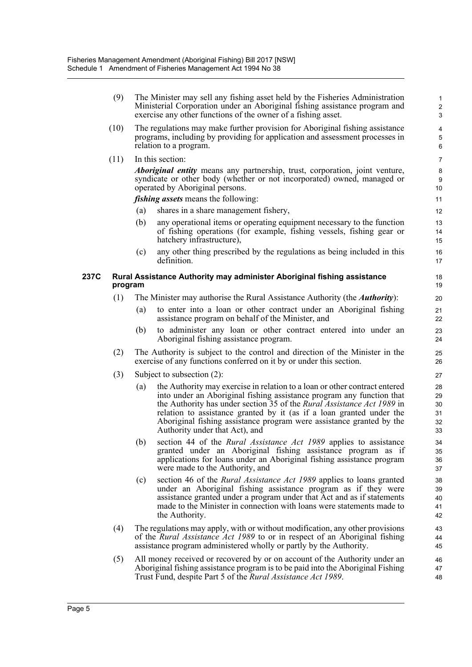(9) The Minister may sell any fishing asset held by the Fisheries Administration 1 Ministerial Corporation under an Aboriginal fishing assistance program and exercise any other functions of the owner of a fishing asset. 3

2

5

9

14

36 35

41 40 39

44

47

- (10) The regulations may make further provision for Aboriginal fishing assistance 4 programs, including by providing for application and assessment processes in relation to a program.
- (11) In this section: 7

*Aboriginal entity* means any partnership, trust, corporation, joint venture,  $\frac{8}{3}$ syndicate or other body (whether or not incorporated) owned, managed or operated by Aboriginal persons. 10

*fishing assets* means the following: 11

- (a) shares in a share management fishery, 12
- (b) any operational items or operating equipment necessary to the function 13 of fishing operations (for example, fishing vessels, fishing gear or hatchery infrastructure), 15
- (c) any other thing prescribed by the regulations as being included in this 16 definition. 17

#### **237C Rural Assistance Authority may administer Aboriginal fishing assistance** 18 **program** 19

- (1) The Minister may authorise the Rural Assistance Authority (the *Authority*): 20
	- (a) to enter into a loan or other contract under an Aboriginal fishing 21 assistance program on behalf of the Minister, and 22
	- (b) to administer any loan or other contract entered into under an 23 Aboriginal fishing assistance program. 24
- (2) The Authority is subject to the control and direction of the Minister in the 25 exercise of any functions conferred on it by or under this section. 26
- (3) Subject to subsection (2): 27
	- (a) the Authority may exercise in relation to a loan or other contract entered 28 into under an Aboriginal fishing assistance program any function that the Authority has under section 35 of the *Rural Assistance Act 1989* in relation to assistance granted by it (as if a loan granted under the Aboriginal fishing assistance program were assistance granted by the Authority under that Act), and 33
	- (b) section 44 of the *Rural Assistance Act 1989* applies to assistance 34 granted under an Aboriginal fishing assistance program as if applications for loans under an Aboriginal fishing assistance program were made to the Authority, and 37
	- (c) section 46 of the *Rural Assistance Act 1989* applies to loans granted 38 under an Aboriginal fishing assistance program as if they were assistance granted under a program under that Act and as if statements made to the Minister in connection with loans were statements made to the Authority. 42
- (4) The regulations may apply, with or without modification, any other provisions 43 of the *Rural Assistance Act 1989* to or in respect of an Aboriginal fishing assistance program administered wholly or partly by the Authority. 45
- (5) All money received or recovered by or on account of the Authority under an  $46$ Aboriginal fishing assistance program is to be paid into the Aboriginal Fishing Trust Fund, despite Part 5 of the *Rural Assistance Act 1989*. 48